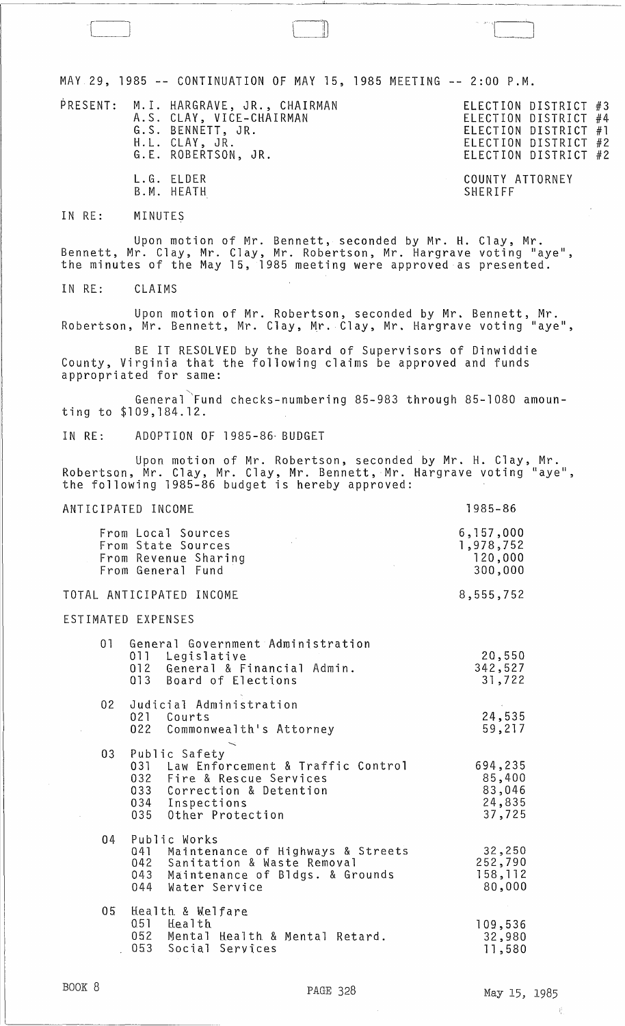MAY 29, 1985 -- CONTINUATION OF MAY 15, 1985 MEETING -- 2:00 P.M.

 $\bigl[$ 

~RESENT: M.I. HARGRAVE, JR., CHAIRMAN A.S. CLAY, VICE-CHAIRMAN G.S. BENNETT, JR. H. L. CLAY, JR. G.E. ROBERTSON, JR. L.G. ELDER B.M. HEATH

| ELECTION DISTRICT #3 |    |
|----------------------|----|
| ELECTION DISTRICT #4 |    |
| ELECTION DISTRICT    | #1 |
| ELECTION DISTRICT    | #2 |
| ELECTION DISTRICT #2 |    |
|                      |    |

COUNTY ATTORNEY SHERIFF

### IN RE: MINUTES

Upon motion of Mr. Bennett, seconded by Mr. H. Clay, Mr. Bennett, Mr. Clay, Mr. Clay, Mr. Robertson, Mr. Hargrave voting "aye", the minutes of the May 15, 1985 meeting were approved as presented.

IN RE: CLAIMS

Upon motion of Mr. Robertson, seconded by Mr. Bennett, Mr. Robertson, Mr. Bennett, Mr. Clay, Mr. Clay, Mr. Hargrave voting "aye",

BE IT RESOLVED by the Board of Supervisors of Dinwiddie County, Virginia that the following claims be approved and funds appropriated for same:

General~Fund checks-numbering 85-983 through 85-1080 amounting to \$109,184.12.

IN RE: ADOPTION OF 1985-86- BUDGET

Upon motion of Mr. Robertson, seconded by Mr. H. Clay, Mr. Robertson, Mr. Clay, Mr. Clay, Mr. Bennett, Mr. Hargrave voting "aye", the following 1985-86 budget is hereby approved:

| ANTICIPATED INCOME                                                                    | 1985-86                                      |
|---------------------------------------------------------------------------------------|----------------------------------------------|
| From Local Sources<br>From State Sources<br>From Revenue Sharing<br>From General Fund | 6,157,000<br>1,978,752<br>120,000<br>300,000 |
| TOTAL ANTICIPATED INCOME                                                              | 8,555,752                                    |

TOTAL ANTICIPATED INCOME

ESTIMATED EXPENSES

| 01              | General Government Administration<br>011 Legislative<br>012 General & Financial Admin.<br>013 Board of Elections                                                 | 20,550<br>342,527<br>31,722                     |
|-----------------|------------------------------------------------------------------------------------------------------------------------------------------------------------------|-------------------------------------------------|
| 02 <sub>1</sub> | Judicial Administration<br>021 Courts<br>022 Commonwealth's Attorney                                                                                             | 24,535<br>59,217                                |
| 03 <sub>1</sub> | Public Safety<br>031 Law Enforcement & Traffic Control<br>032 Fire & Rescue Services<br>033 Correction & Detention<br>034 Inspections<br>035<br>Other Protection | 694,235<br>85,400<br>83,046<br>24,835<br>37,725 |
| 04              | Public Works<br>041 Maintenance of Highways & Streets<br>042<br>Sanitation & Waste Removal<br>043<br>Maintenance of Bldgs. & Grounds<br>044<br>Water Service     | 32,250<br>252,790<br>158,112<br>80,000          |
| 05 <sub>1</sub> | Health & Welfare<br>0.51<br>Health<br>052 Mental Health & Mental Retard.<br>053 Social Services                                                                  | 109,536<br>32,980<br>11,580                     |

Ŕ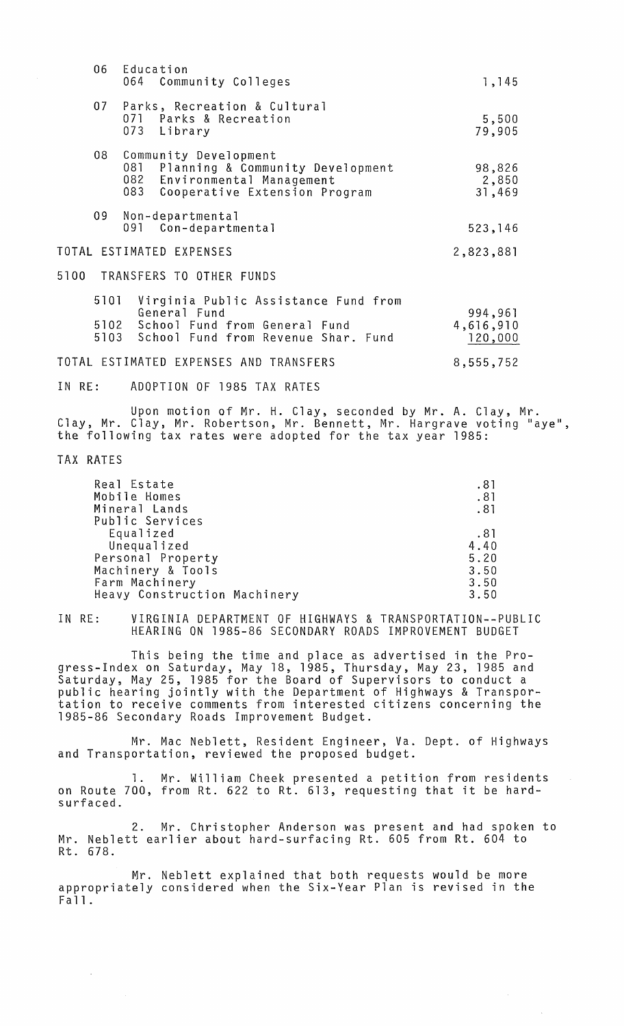| 06   | Education                                                                                                                                   |                                 |
|------|---------------------------------------------------------------------------------------------------------------------------------------------|---------------------------------|
|      | 064 Community Colleges                                                                                                                      | 1,145                           |
|      | 07 Parks, Recreation & Cultural<br>071 Parks & Recreation<br>073 Library                                                                    | 5,500<br>79,905                 |
| 08   | Community Development<br>081<br>Planning & Community Development<br>082<br>Environmental Management<br>083<br>Cooperative Extension Program | 98,826<br>2,850<br>31,469       |
| 09   | Non-departmental<br>091 Con-departmental                                                                                                    | 523,146                         |
|      | TOTAL ESTIMATED EXPENSES                                                                                                                    | 2,823,881                       |
|      | 5100 TRANSFERS TO OTHER FUNDS                                                                                                               |                                 |
| 5101 | Virginia Public Assistance Fund from<br>General Fund<br>5102 School Fund from General Fund<br>5103 School Fund from Revenue Shar. Fund      | 994,961<br>4,616,910<br>120,000 |
|      | TOTAL ESTIMATED EXPENSES AND TRANSFERS                                                                                                      | 8,555,752                       |

IN RE: ADOPTION OF 1985 TAX RATES

Upon motion of Mr. H. Clay, seconded by Mr. A. Clay, Mr. Clay, Mr. Clay, Mr. Robertson, Mr. Bennett, Mr. Hargrave voting "aye", the following tax rates were adopted for the tax year 1985:

TAX RATES

| Real Estate                                 | .81         |
|---------------------------------------------|-------------|
| Mobile Homes                                | .81         |
| Mineral Lands                               | .81         |
| Public Services<br>Equalized<br>Unequalized | .81<br>4.40 |
| Personal Property                           | 5.20        |
| Machinery & Tools                           | 3.50        |
| Farm Machinery                              | 3.50        |
| Heavy Construction Machinery                | 3.50        |

IN RE: VIRGINIA DEPARTMENT OF HIGHWAYS & TRANSPORTATION--PUBLIC HEARING ON 1985-86 SECONDARY ROADS IMPROVEMENT BUDGET

This being the time and place as advertised in the Progress-Index on Saturday, May 18, 1985, Thursday, May 23, 1985 and Saturday, May 25, 1985 for the Board of Supervisors to conduct a public hearing jointly with the Department of Highways & Transportation to receive comments from interested citizens concerning the 1985-86 Secondary Roads Improvement Budget.

Mr. Mac Neblett, Resident Engineer, Va. Dept. of Highways and Transportation, reviewed the proposed budget.

1. Mr. William Cheek presented a petition from residents on Route 700, from Rt. 622 to Rt. 613, requesting that it be hardsurfaced.

2. Mr. Christopher Anderson was present and had spoken to Mr. Neblett earlier about hard-surfacing Rt. 605 from Rt. 604 to Rt. 678.

 $\overline{\phantom{a}}$ 

Mr. Neblett explained that both requests would be more appropriately considered when the Six-Year Plan is revised in the Fall.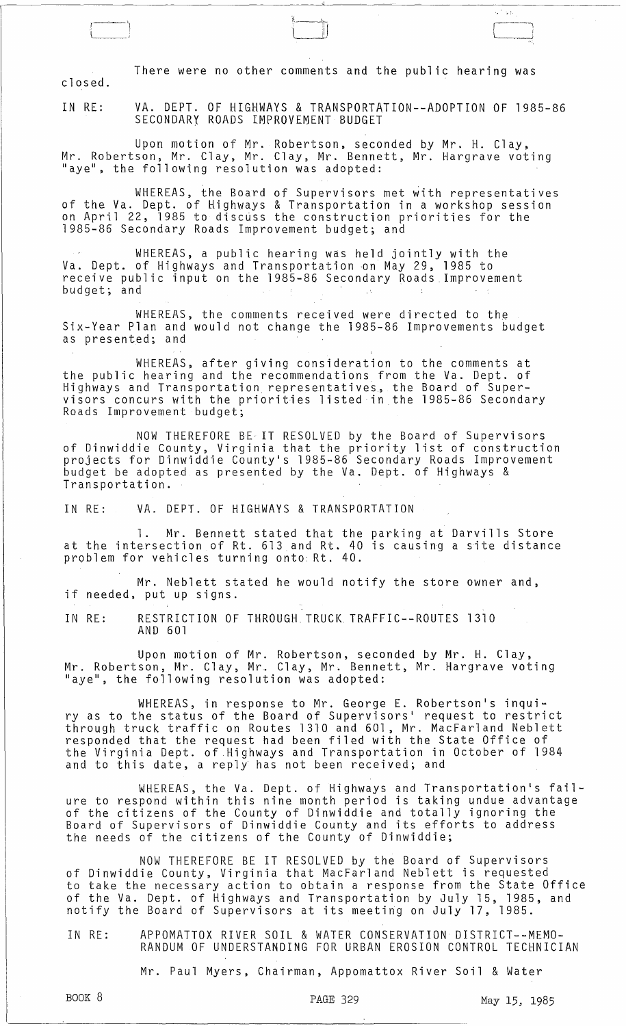closed. There were no other comments and the public hearing was

IN RE: VA. DEPT. OF HIGHWAYS & TRANSPORTATION--ADOPTION OF 1985-86 SECONDARY ROADS IMPROVEMENT BUDGET

of op

Upon motion of Mr. Robertson, seconded by Mr. H. Clay, Mr. Robertson, Mr. Clay, Mr. Clay, Mr. Bennett, Mr. Hargrave voting "aye", the following resolution was adopted:

WHEREAS, the Board of Supervisors met with representatives of the Va. Dept. of Highways & Transportation in a workshop session on April 22, 1985 to discuss the construction priorities for the 1985-86 Secondary Roads Improvement budget; and

WHEREAS, a public hearing was held jointly with the Va. Dept. of Highways and Transportation on May 29, 1985 to receive public input on the 1985-86 Secondary Roads Improvement budget; and

WHEREAS, the comments received were directed to the Six-Year Plan and would not change the 1985-86 Improvements budget as presented; and

WHEREAS, after giving consideration to the comments at the public hearing and the recommendations from the Va. Dept. of Highways and Transportation representatives, the Board of Supervisors concurs with the priorities listed in the 1985-86 Secondary Roads Improvement budget;

NOW THEREFORE BE· IT RESOLVED by the Board of Supervisors of Dinwiddie County, Virginia that the priority list of construction projects for Dinwiddie County's 1985-86 Secondary Roads Improvement budget be adopted as presented by the Va. Dept. of Highways & Transportation.

IN RE: VA. DEPT. OF HIGHWAYS & TRANSPORTATION

1. Mr. Bennett stated that the parking at Darvills Store at the intersection of Rt. 613 and Rt. 40 is causing a site distance problem for vehicles turning onto: Rt. 40.

Mr. Neblett stated he would notify the store owner and, if needed, put up signs.

IN RE: RESTRICTION OF THROUGH. TRUCK TRAFFIC--ROUTES 1310 AND 601

Upon motion of Mr. Robertson, seconded by Mr. H. Clay, Mr. Robertson, Mr. Clay, Mr. Clay, Mr. Bennett, Mr. Hargrave voting "aye", the following resolution was adopted:

WHEREAS, in response to Mr. George E. Robertson's inquiry as to the status of the Board of Supervisors' request to restrict through truck traffic on Routes 1310 and 601, Mr. MacFarland Neblett responded that the request had been filed with the State Office of the Virginia Dept. of Highways and Transportation in October of 1984 and to this date, a reply has not been received; and

WHEREAS, the Va. Dept. of Highways and Transportation's failure to respond within this nine month period is taking undue advantage of the citizens of the County of Dinwiddie and totally ignoring the Board of Supervisors of Dinwiddie County and its efforts to address the needs of the citizens of the County of Dinwiddie;

NOW THEREFORE BE IT RESOLVED by the Board of Supervisors of Dinwiddie County, Virginia that MacFarland Neblett is requested to take the necessary action to obtain a response from the State Office of the Va. Dept. of Highways and Transportation by July 15, 1985, and notify the Board of Supervisors at its meeting on July 17, 1985.

IN RE: APPOMATTOX RIVER SOIL & WATER CONSERVATION DISTRICT--MEMO-RANDUM OF UNDERSTANDING FOR URBAN EROSION CONTROL TECHNICIAN

Mr. Paul Myers, Chairman, Appomattox River Soil & Water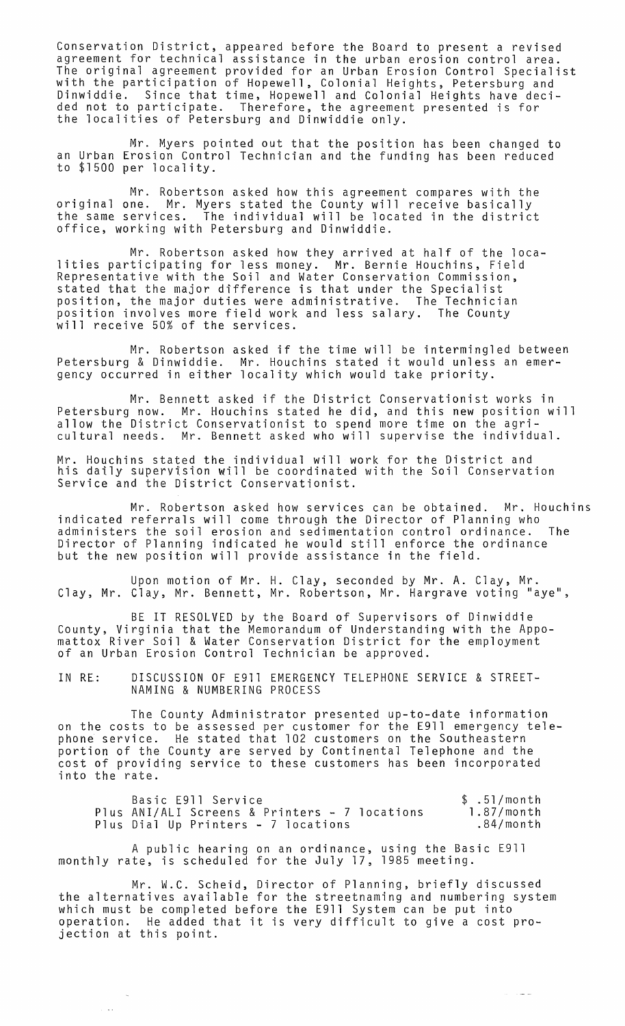Conservation District, appeared before the Board to present a revised agreement for technical assistance in the urban erosion control area. The original agreement provided for an Urban Erosion Control Specialist with the participation of Hopewell, Colonial Heights, Petersburg and Dinwiddie. Since that time, Hopewell and Colonial Heights have decided not to participate. Therefore, the agreement presented is for the localities of Petersburg and Dinwiddie only.

Mr. Myers pOinted out that the position has been changed to an Urban Erosion Control Technician and the funding has been reduced to \$1500 per locality.

Mr. Robertson asked how this agreement compares with the original one. Mr. Myers stated the County will receive basically the same services. The individual will be located in the district office, working with Petersburg and Dinwiddie.

Mr. Robertson asked how they arrived at half of the localities participating for less money. Mr. Bernie Houchins, Field Representative with the Soil and Water Conservation Commission, stated that the major difference is that under the Specialist position, the major duties were administrative. The Technician position involves more field work and less salary. The County will receive 50% of the services.

Mr. Robertson asked if the time will be intermingled between Petersburg & Dinwiddie. Mr. Houchins stated it would unless an emergency occurred in either locality which would take priority.

Mr. Bennett asked if the District Conservationist works in Petersburg now. Mr. Houchins stated he did, and this new position will allow the District Conservationist to spend more time on the agricultural needs. Mr. Bennett asked who will supervise the individual.

Mr. Houchins stated the individual will work for the District and his daily supervision will be coordinated with the Soil Conservation Service and the District Conservationist.

Mr. Robertson asked how services can be obtained. Mr. Houchins indicated referrals will come through the Director of Planning who administers the soil erosion and sedimentation control ordinance. The Director of Planning indicated he would still enforce the ordinance but the new position will provide assistance in the field.

Upon motion of Mr. H. Clay, seconded by Mr. A. Clay, Mr. Clay, Mr. Clay, Mr. Bennett, Mr. Robertson, Mr. Hargrave voting "aye",

BE IT RESOLVED by the Board of Supervisors of Dinwiddie County, Virginia that the Memorandum of Understanding with the Apposouncy, rivernical once numerandam of ondersounding nion one nepp<br>mattox River Soil & Water Conservation District for the employment<br>of an Urban Erosion Control Technician be approved.

IN RE: DISCUSSION OF E911 EMERGENCY TELEPHONE SERVICE & STREET-NAMING & NUMBERING PROCESS

The County Administrator presented up-to-date information on the costs to be assessed per customer for the E911 emergency telephone service. He stated that 102 customers on the Southeastern portion of the County are served by Continental Telephone and the cost of providing service to these customers has been incorporated into the rate.

| Basic E911 Service                            | \$.51/month |
|-----------------------------------------------|-------------|
| Plus ANI/ALI Screens & Printers - 7 locations | 1.87/month  |
| Plus Dial Up Printers - 7 locations           | .84/month   |

A public hearing on an ordinance, using the Basic E911 monthly rate, is scheduled for the July 17, 1985 meeting.

 $\sim$   $\sim$ 

Mr. W.C. Scheid, Director of Planning, briefly discussed the alternatives available for the streetnaming and numbering system which must be completed before the E911 System can be put into operation. He added that it is very difficult to give a cost projection at this point.

 $\alpha=1$  and  $\alpha$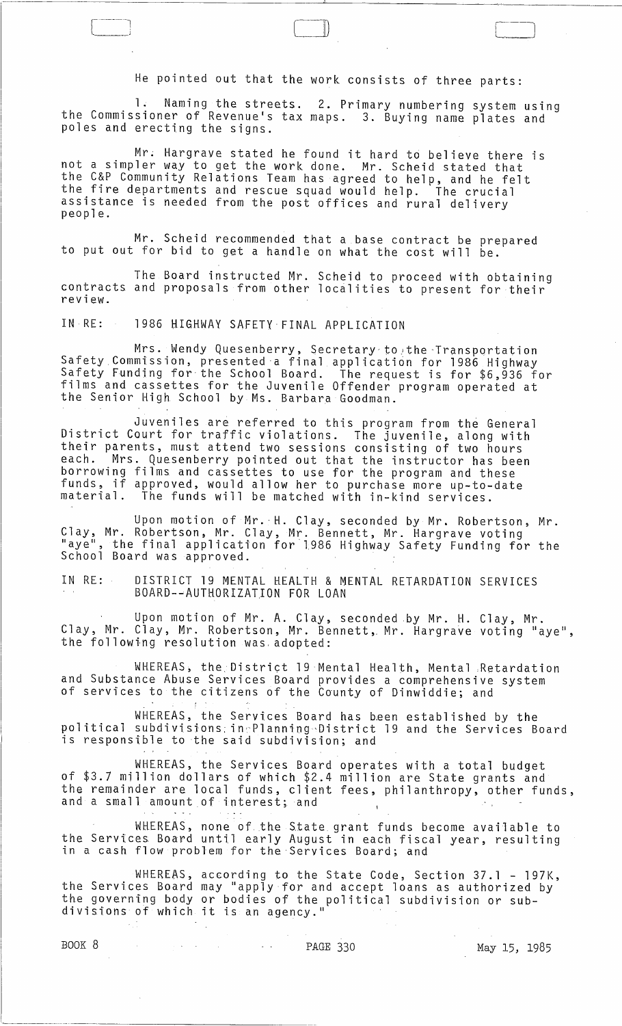He pointed out that the work consists of three parts:

1. Naming the streets. 2. Primary numbering system using the Commissioner of Revenue's tax maps. 3. Buying name plates and poles and erecting the signs.

Mr; Hargrave stated he found it hard to believe there is not a simpler way to get the work done. Mr. Scheid stated that the C&P Community Relations Team has agreed to help, and he felt the fire departments and rescue squad would help. The crucial assistance is needed from the post offices and rural delivery<br>people.

Mr. Scheid recommended that a base contract be prepared to put out for bid to get a handle on what the cost will be.

The Board instructed Mr. Scheid to proceed with obtaining contracts and proposals from other localities to present for their review.

IN RE: 1986 HIGHWAY SAFETY FINAL APPLICATION

Mrs. Wendy Quesenberry, Secretary to the Transportation Safety Commission, presented a final application for 1986 Highway Safety Funding for· the School Board. The request is for \$6,936 for films and cassettes for the Juvenile Offender program operated at the Senior High School by Ms. Barbara Goodman.

Juveniles are referred to this program from the General District Court for traffic violations. The juvenile, along with their parents, must attend two sessions consisting of two hours each. Mrs. Quesenberry pointed out that the instructor has been borrowing films and cassettes to use for the program and these funds, if approved, would allow her to purchase more up-to-date material. The funds will be matched with in-kind services.

Upon motion of Mr.·H. Clay, seconded by Mr. Robertson, Mr. Clay, Mr. Robertson, Mr. Clay, Mr. Bennett, Mr. Hargrave voting aye", the final application for 1986 Highway Safety Funding for the School Board was approved.

IN RE: DISTRICT 19 MENTAL HEALTH & MENTAL RETARDATION SERVICES BOARD--AUTHORIZATION FOR LOAN

Upon motion of Mr. A. Clay, seconded by Mr. H. Clay, Mr. Clay, Mr. Clay, Mr. Robertson, Mr. Bennett, Mr. Hargrave voting "aye", the following resolution was adopted:

WHEREAS, the District 19 Mental Health, Mental Retardation and Substance Abuse Services Board provides a comprehensive system of services to the citizens of the County of Dinwiddie; and

WHEREAS, the Services Board has been established by the political subdivisions: incPlanning District 19 and the Services Board is responsible to the said subdivision; and

WHEREAS, the Services Board operates with a total budget of \$3.7 million dollars of which \$2.4 million are State grants and the remainder are local funds, client fees, philanthropy, other funds, and a small amount of interest; and

WHEREAS, none of the State grant funds become available to the Services Board until early August in each fiscal year, resulting<br>in a cash flow problem for the Services Board; and

WHEREAS, according to the State Code, Section 37.1 - 197K, the Services Board may "apply for and accept loans as authorized by the governing body or bodies of the political subdivision or subthe governing bouy or boutes of the<br>divisions of which it is an agency."

-------\_.\_-\_ ... \_----------------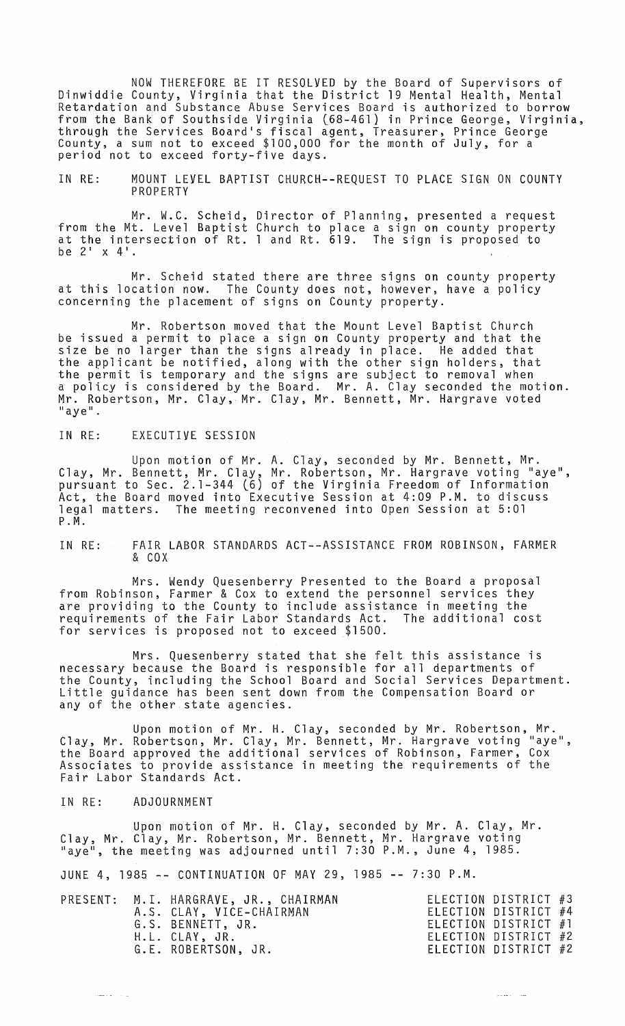NOW THEREFORE BE IT RESOLVED by the Board of Supervisors of Dinwiddie County, Virginia that the District 19 Mental Health, Mental Retardation and Substance Abuse Services Board is authorized to borrow from the Bank of Southside Virginia (68-461) in Prince George, Virginia, through the Services Board's fiscal agent, Treasurer, Prince George<br>County, a sum not to exceed \$100,000 for the month of July, for a period not to exceed forty-five days.

IN RE: MOUNT LEVEL BAPTIST CHURCH--REQUEST TO PLACE SIGN ON COUNTY PROPERTY

Mr. W.C. Scheid, Director of Planning, presented a request from the Mt. Level Baptist Church to place a sign on county property at the intersection of Rt. 1 and Rt. 619. The sign is proposed to be  $2^1$  x  $4^1$ .

Mr. Scheid stated there are three signs on county property at this location now. The County does not, however, have a policy concerning the placement of signs on County property.

Mr. Robertson moved that the Mount Level Baptist Church be issued a permit to place a sign on County property and that the size be no larger than the signs already in place. He added that the applicant be notified, along with the other sign holders, that the permit is temporary and the signs are subject to removal when a policy is considered by the Board. Mr. A. Clay seconded the motion. Mr. Robertson, Mr. Clay, Mr. Clay, Mr. Bennett, Mr. Hargrave voted "aye".

# IN RE: EXECUTIVE SESSION

Upon motion of Mr. A. Clay, seconded by Mr. Bennett, Mr. Clay, Mr. Bennett, Mr. Clay, Mr. Robertson, Mr. Hargrave voting "aye", pursuant to Sec. 2.1-344 (6) of the Virginia Freedom of Information Act, the Board moved into Executive Session at 4:09 P.M. to discuss legal matters. The meeting reconvened into Open Session at 5:01 P. M.

IN RE: FAIR LABOR STANDARDS ACT--ASSISTANCE FROM ROBINSON, FARMER & COX

Mrs. Wendy Quesenberry Presented to the Board a proposal from Robinson, Farmer & Cox to extend the personnel services they are providing to the County to include assistance in meeting the<br>requirements of the Fair Labor Standards Act. The additional cost requirements of the Fair Labor Standards Act. for services is proposed not to exceed \$1500.

Mrs. Quesenberry stated that she felt this assistance is necessary because the Board is responsible for all departments of the County, including the School Board and Social Services Department. Little guidance has been sent down from the Compensation Board or any of the other. state agencies.

Upon motion of Mr. H. Clay, seconded by Mr. Robertson, Mr. Clay, Mr. Robertson, Mr. Clay, Mr. Bennett, Mr. Hargrave voting "aye", the Board approved the additional services of Robinson, Farmer, Cox Associates to provide assistance in meeting the requirements of the Fair Labor Standards Act.

## IN RE: ADJOURNMENT

للأرباء بعقاء

Upon motion of Mr. H. Clay, seconded by Mr. A. Clay, Mr. Clay, Mr. Clay, Mr. Robertson, Mr. Bennett, Mr. Hargrave voting "aye", the meeting was adjourned until 7:30 P.M., June 4, 1985.

JUNE 4, 1985 -- CONTINUATION OF MAY 29, 1985 -- 7:30 P.M.

| PRESENT: M.I. HARGRAVE, JR., CHAIRMAN<br>A.S. CLAY, VICE-CHAIRMAN<br>G.S. BENNETT, JR.<br>H.L. CLAY, JR.<br>G.E. ROBERTSON, JR. | ELECTION DISTRICT #3<br>ELECTION DISTRICT #4<br>ELECTION DISTRICT #1<br>ELECTION DISTRICT #2<br>ELECTION DISTRICT #2 |
|---------------------------------------------------------------------------------------------------------------------------------|----------------------------------------------------------------------------------------------------------------------|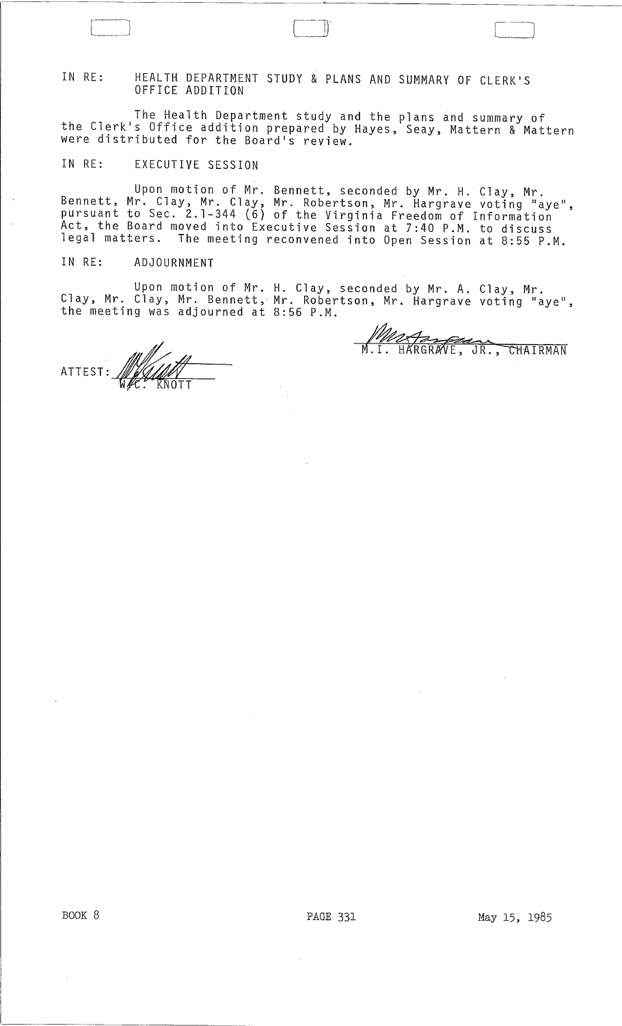# IN RE: HEALTH DEPARTMENT STUDY & PLANS AND SUMMARY OF CLERK'S OFFICE ADDITION

The Health Department study and the plans and summary of the Clerk's Office addition prepared by Hayes, Seay, Mattern & Mattern were distributed for the Board's review.

IN RE: EXECUTIVE SESSION

Upon motion of Mr. Bennett, seconded by Mr. H. Clay, Mr. Bennett, Mr. Clay, Mr. Clay, Mr. Robertson, Mr. Hargrave voting "aye", pursuant to Sec. 2.1-344 (6) of the Virginia Freedom of Information Act, the Board moved into Executive Session at 7:40 P.M. to discuss legal matters. The meeting reconvened into Open Session at 8:55 P.M.

### IN RE: ADJOURNMENT

Upon motion of Mr. H. Clay, seconded by Mr. A. Clay, Mr. Clay, Mr. Clay, Mr. Bennett, Mr. Robertson, Mr. Hargrave voting "aye", the meeting was adjourned at 8:56 P.M.

ATTEST: WE KNOTT

Westerner, JR., CHAIRMAN